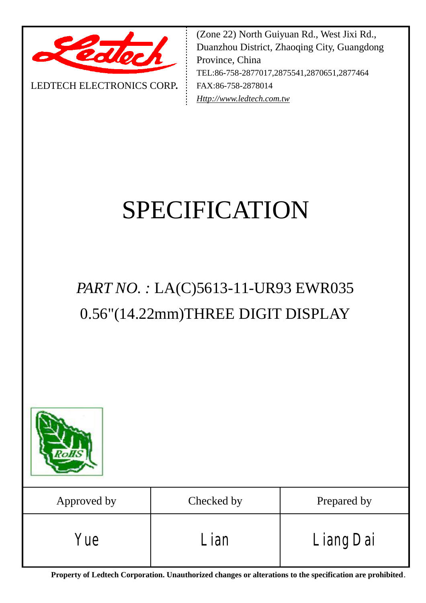

LEDTECH ELECTRONICS CORP**.**

(Zone 22) North Guiyuan Rd., West Jixi Rd., Duanzhou District, Zhaoqing City, Guangdong Province, China TEL:86-758-2877017,2875541,2870651,2877464 FAX:86-758-2878014 *[Http://www.ledtech.com.tw](http://www.ledtech.com.tw)*

# SPECIFICATION

# *PART NO. :* LA(C)5613-11-UR93 EWR035 0.56"(14.22mm)THREE DIGIT DISPLAY



| Approved by | Checked by | Prepared by |
|-------------|------------|-------------|
| 'ue         | ian        | Liang Dai   |

**Property of Ledtech Corporation. Unauthorized changes or alterations to the specification are prohibited***.*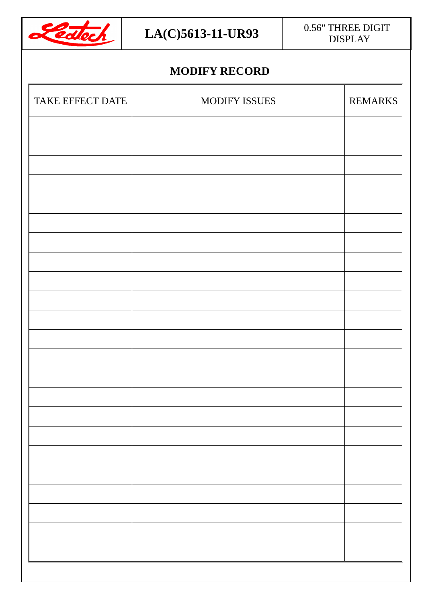

### $LA(C)$ **5613-11-UR93** 0.56" THREE DIGIT DISPLAY

## **MODIFY RECORD**

| MODIFY ISSUES | REMARKS |
|---------------|---------|
|               |         |
|               |         |
|               |         |
|               |         |
|               |         |
|               |         |
|               |         |
|               |         |
|               |         |
|               |         |
|               |         |
|               |         |
|               |         |
|               |         |
|               |         |
|               |         |
|               |         |
|               |         |
|               |         |
|               |         |
|               |         |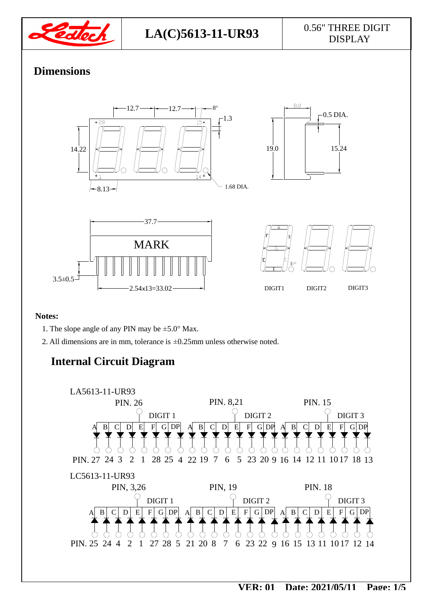

# DISPLAY

### **Dimensions**



#### **Notes:**

- 1. The slope angle of any PIN may be  $\pm$ 5.0° Max.
- 2. All dimensions are in mm, tolerance is ±0.25mm unless otherwise noted.

## **Internal Circuit Diagram**

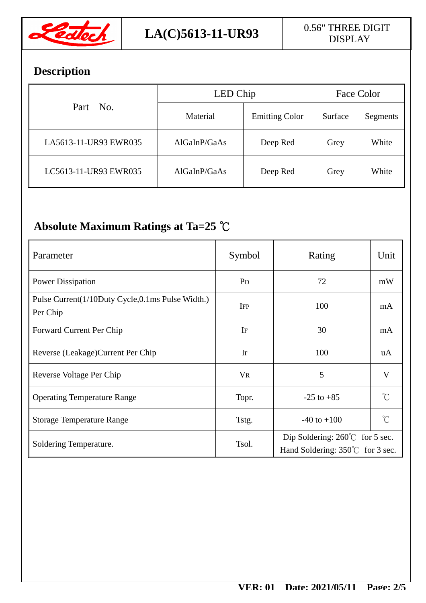

# **Description**

| Part No.              | LED Chip     |                       | Face Color |          |
|-----------------------|--------------|-----------------------|------------|----------|
|                       | Material     | <b>Emitting Color</b> | Surface    | Segments |
| LA5613-11-UR93 EWR035 | AlGaInP/GaAs | Deep Red              | Grey       | White    |
| LC5613-11-UR93 EWR035 | AlGaInP/GaAs | Deep Red              | Grey       | White    |

## **Absolute Maximum Ratings at Ta=25 ℃**

| Parameter                                                    | Symbol         | Rating                                                                              | Unit                |  |
|--------------------------------------------------------------|----------------|-------------------------------------------------------------------------------------|---------------------|--|
| <b>Power Dissipation</b>                                     | P <sub>D</sub> | 72                                                                                  | mW                  |  |
| Pulse Current(1/10Duty Cycle,0.1ms Pulse Width.)<br>Per Chip | <b>IFP</b>     | 100                                                                                 | mA                  |  |
| Forward Current Per Chip                                     | IF             | 30                                                                                  | mA                  |  |
| Reverse (Leakage) Current Per Chip                           | Ir             | 100                                                                                 | uA                  |  |
| Reverse Voltage Per Chip                                     | <b>VR</b>      | 5                                                                                   | V                   |  |
| <b>Operating Temperature Range</b>                           | Topr.          | $-25$ to $+85$                                                                      | $\int_{0}^{\infty}$ |  |
| <b>Storage Temperature Range</b>                             | Tstg.          | $-40$ to $+100$                                                                     | $\int_{0}^{\infty}$ |  |
| Soldering Temperature.                                       | Tsol.          | Dip Soldering: $260^{\circ}$ for 5 sec.<br>Hand Soldering: $350^{\circ}$ for 3 sec. |                     |  |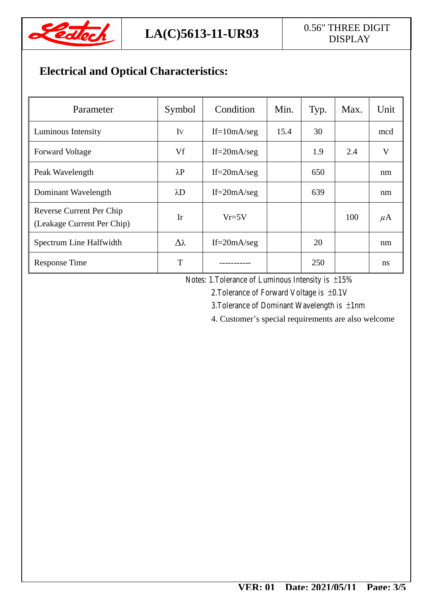

# DISPLAY

## **Electrical and Optical Characteristics:**

| Parameter                                              | Symbol      | Condition       | Min. | Typ. | Max. | Unit    |
|--------------------------------------------------------|-------------|-----------------|------|------|------|---------|
| Luminous Intensity                                     | Iv          | $If=10mA/seg$   | 15.4 | 30   |      | mcd     |
| <b>Forward Voltage</b>                                 | Vf          | If= $20mA/secg$ |      | 1.9  | 2.4  | V       |
| Peak Wavelength                                        | $\lambda$ P | If= $20mA/secg$ |      | 650  |      | nm      |
| Dominant Wavelength                                    | $\lambda$ D | If= $20mA/secg$ |      | 639  |      | nm      |
| Reverse Current Per Chip<br>(Leakage Current Per Chip) | Ir          | $Vr = 5V$       |      |      | 100  | $\mu$ A |
| Spectrum Line Halfwidth                                | Δλ          | If= $20mA/secg$ |      | 20   |      | nm      |
| <b>Response Time</b>                                   | T           |                 |      | 250  |      | ns      |

Notes: 1.Tolerance of Luminous Intensity is ±15%

2.Tolerance of Forward Voltage is ±0.1V

3.Tolerance of Dominant Wavelength is ±1nm

4. Customer's special requirements are also welcome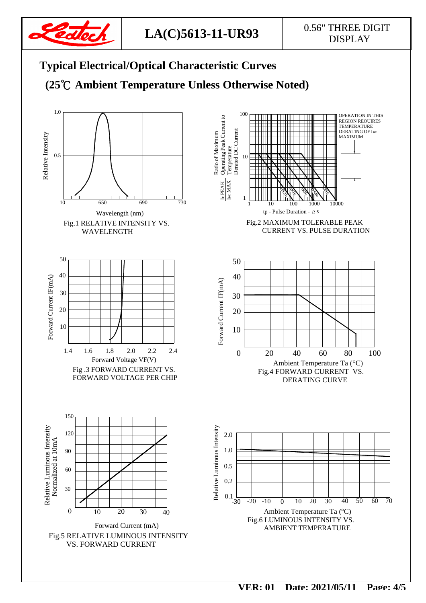